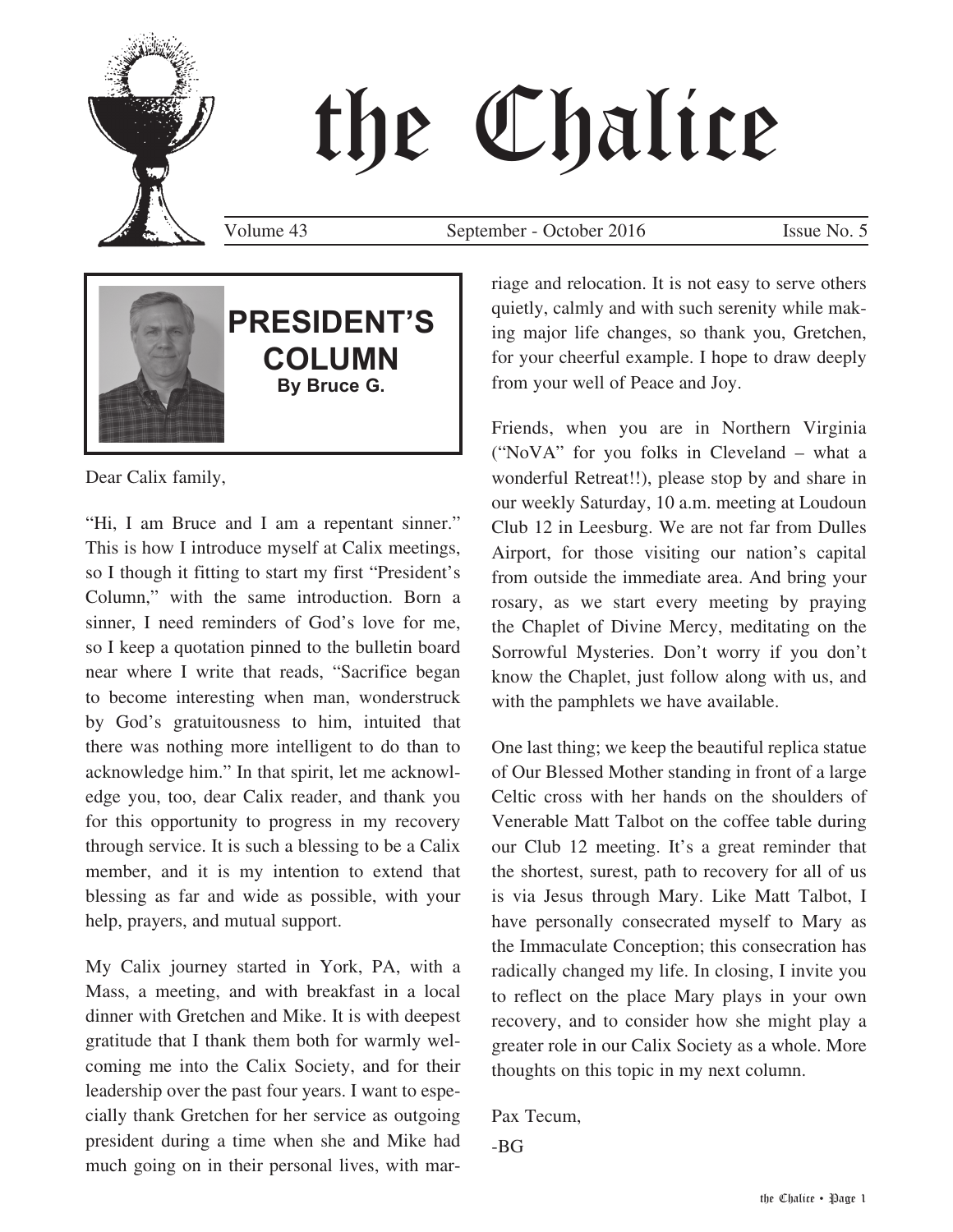# the Chalice

Volume 43 September - October 2016 Issue No. 5



Dear Calix family,

"Hi, I am Bruce and I am a repentant sinner." This is how I introduce myself at Calix meetings, so I though it fitting to start my first "President's Column," with the same introduction. Born a sinner, I need reminders of God's love for me, so I keep a quotation pinned to the bulletin board near where I write that reads, "Sacrifice began to become interesting when man, wonderstruck by God's gratuitousness to him, intuited that there was nothing more intelligent to do than to acknowledge him." In that spirit, let me acknowledge you, too, dear Calix reader, and thank you for this opportunity to progress in my recovery through service. It is such a blessing to be a Calix member, and it is my intention to extend that blessing as far and wide as possible, with your help, prayers, and mutual support.

My Calix journey started in York, PA, with a Mass, a meeting, and with breakfast in a local dinner with Gretchen and Mike. It is with deepest gratitude that I thank them both for warmly welcoming me into the Calix Society, and for their leadership over the past four years. I want to especially thank Gretchen for her service as outgoing president during a time when she and Mike had much going on in their personal lives, with marriage and relocation. It is not easy to serve others quietly, calmly and with such serenity while making major life changes, so thank you, Gretchen, for your cheerful example. I hope to draw deeply from your well of Peace and Joy.

Friends, when you are in Northern Virginia ("NoVA" for you folks in Cleveland – what a wonderful Retreat!!), please stop by and share in our weekly Saturday, 10 a.m. meeting at Loudoun Club 12 in Leesburg. We are not far from Dulles Airport, for those visiting our nation's capital from outside the immediate area. And bring your rosary, as we start every meeting by praying the Chaplet of Divine Mercy, meditating on the Sorrowful Mysteries. Don't worry if you don't know the Chaplet, just follow along with us, and with the pamphlets we have available.

One last thing; we keep the beautiful replica statue of Our Blessed Mother standing in front of a large Celtic cross with her hands on the shoulders of Venerable Matt Talbot on the coffee table during our Club 12 meeting. It's a great reminder that the shortest, surest, path to recovery for all of us is via Jesus through Mary. Like Matt Talbot, I have personally consecrated myself to Mary as the Immaculate Conception; this consecration has radically changed my life. In closing, I invite you to reflect on the place Mary plays in your own recovery, and to consider how she might play a greater role in our Calix Society as a whole. More thoughts on this topic in my next column.

Pax Tecum, -BG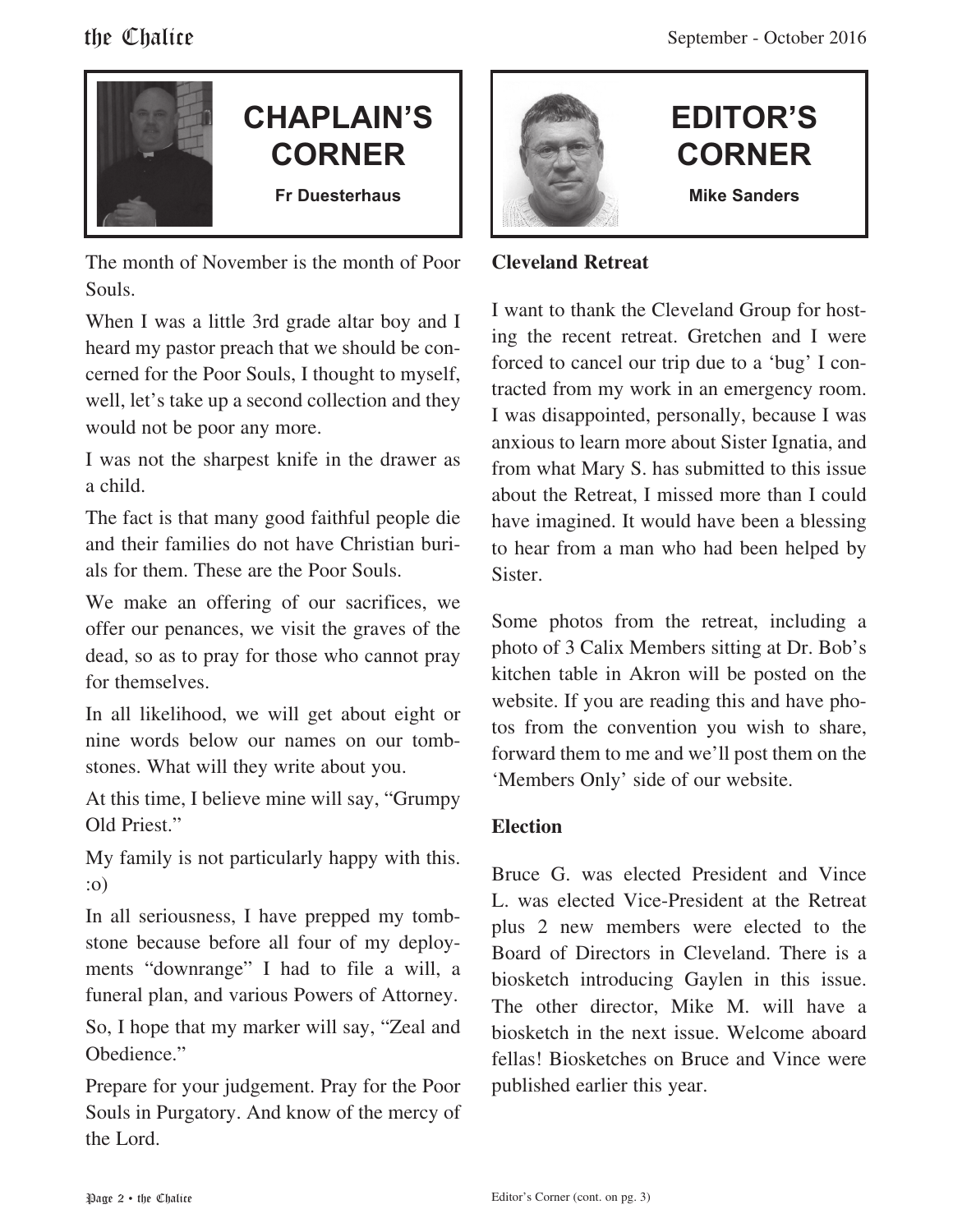

### **CHAPLAIN'S CORNER Fr Duesterhaus**

The month of November is the month of Poor Souls.

When I was a little 3rd grade altar boy and I heard my pastor preach that we should be concerned for the Poor Souls, I thought to myself, well, let's take up a second collection and they would not be poor any more.

I was not the sharpest knife in the drawer as a child.

The fact is that many good faithful people die and their families do not have Christian burials for them. These are the Poor Souls.

We make an offering of our sacrifices, we offer our penances, we visit the graves of the dead, so as to pray for those who cannot pray for themselves.

In all likelihood, we will get about eight or nine words below our names on our tombstones. What will they write about you.

At this time, I believe mine will say, "Grumpy Old Priest."

My family is not particularly happy with this. :o)

In all seriousness, I have prepped my tombstone because before all four of my deployments "downrange" I had to file a will, a funeral plan, and various Powers of Attorney. So, I hope that my marker will say, "Zeal and Obedience."

Prepare for your judgement. Pray for the Poor Souls in Purgatory. And know of the mercy of the Lord.



#### **EDITOR'S CORNER Mike Sanders**

#### **Cleveland Retreat**

I want to thank the Cleveland Group for hosting the recent retreat. Gretchen and I were forced to cancel our trip due to a 'bug' I contracted from my work in an emergency room. I was disappointed, personally, because I was anxious to learn more about Sister Ignatia, and from what Mary S. has submitted to this issue about the Retreat, I missed more than I could have imagined. It would have been a blessing to hear from a man who had been helped by Sister.

Some photos from the retreat, including a photo of 3 Calix Members sitting at Dr. Bob's kitchen table in Akron will be posted on the website. If you are reading this and have photos from the convention you wish to share, forward them to me and we'll post them on the 'Members Only' side of our website.

#### **Election**

Bruce G. was elected President and Vince L. was elected Vice-President at the Retreat plus 2 new members were elected to the Board of Directors in Cleveland. There is a biosketch introducing Gaylen in this issue. The other director, Mike M. will have a biosketch in the next issue. Welcome aboard fellas! Biosketches on Bruce and Vince were published earlier this year.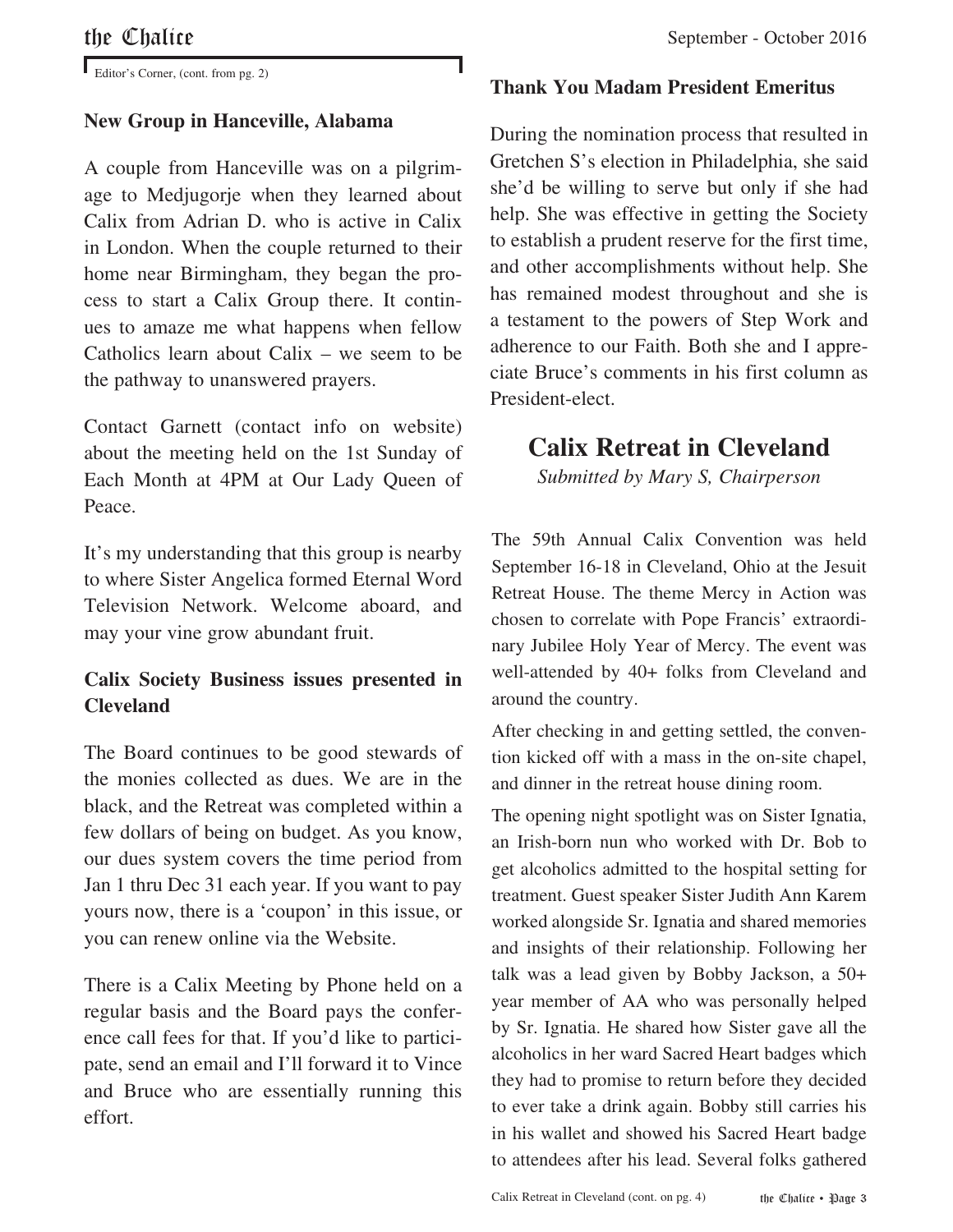Editor's Corner, (cont. from pg. 2)

#### **New Group in Hanceville, Alabama**

A couple from Hanceville was on a pilgrimage to Medjugorje when they learned about Calix from Adrian D. who is active in Calix in London. When the couple returned to their home near Birmingham, they began the process to start a Calix Group there. It continues to amaze me what happens when fellow Catholics learn about Calix – we seem to be the pathway to unanswered prayers.

Contact Garnett (contact info on website) about the meeting held on the 1st Sunday of Each Month at 4PM at Our Lady Queen of Peace.

It's my understanding that this group is nearby to where Sister Angelica formed Eternal Word Television Network. Welcome aboard, and may your vine grow abundant fruit.

#### **Calix Society Business issues presented in Cleveland**

The Board continues to be good stewards of the monies collected as dues. We are in the black, and the Retreat was completed within a few dollars of being on budget. As you know, our dues system covers the time period from Jan 1 thru Dec 31 each year. If you want to pay yours now, there is a 'coupon' in this issue, or you can renew online via the Website.

There is a Calix Meeting by Phone held on a regular basis and the Board pays the conference call fees for that. If you'd like to participate, send an email and I'll forward it to Vince and Bruce who are essentially running this effort.

#### **Thank You Madam President Emeritus**

During the nomination process that resulted in Gretchen S's election in Philadelphia, she said she'd be willing to serve but only if she had help. She was effective in getting the Society to establish a prudent reserve for the first time, and other accomplishments without help. She has remained modest throughout and she is a testament to the powers of Step Work and adherence to our Faith. Both she and I appreciate Bruce's comments in his first column as President-elect.

#### **Calix Retreat in Cleveland**

*Submitted by Mary S, Chairperson*

The 59th Annual Calix Convention was held September 16-18 in Cleveland, Ohio at the Jesuit Retreat House. The theme Mercy in Action was chosen to correlate with Pope Francis' extraordinary Jubilee Holy Year of Mercy. The event was well-attended by 40+ folks from Cleveland and around the country.

After checking in and getting settled, the convention kicked off with a mass in the on-site chapel, and dinner in the retreat house dining room.

The opening night spotlight was on Sister Ignatia, an Irish-born nun who worked with Dr. Bob to get alcoholics admitted to the hospital setting for treatment. Guest speaker Sister Judith Ann Karem worked alongside Sr. Ignatia and shared memories and insights of their relationship. Following her talk was a lead given by Bobby Jackson, a 50+ year member of AA who was personally helped by Sr. Ignatia. He shared how Sister gave all the alcoholics in her ward Sacred Heart badges which they had to promise to return before they decided to ever take a drink again. Bobby still carries his in his wallet and showed his Sacred Heart badge to attendees after his lead. Several folks gathered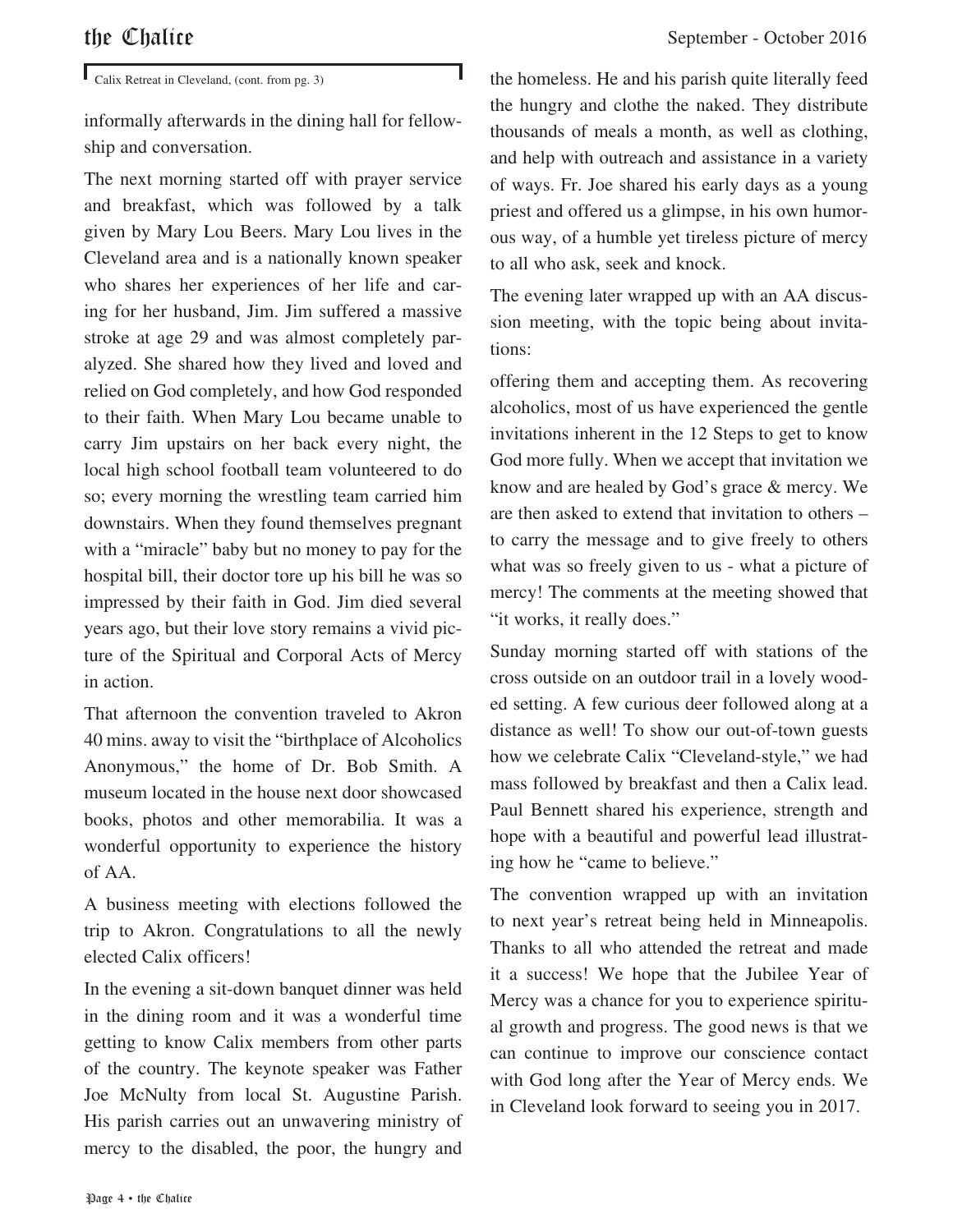Calix Retreat in Cleveland, (cont. from pg. 3)

informally afterwards in the dining hall for fellowship and conversation.

The next morning started off with prayer service and breakfast, which was followed by a talk given by Mary Lou Beers. Mary Lou lives in the Cleveland area and is a nationally known speaker who shares her experiences of her life and caring for her husband, Jim. Jim suffered a massive stroke at age 29 and was almost completely paralyzed. She shared how they lived and loved and relied on God completely, and how God responded to their faith. When Mary Lou became unable to carry Jim upstairs on her back every night, the local high school football team volunteered to do so; every morning the wrestling team carried him downstairs. When they found themselves pregnant with a "miracle" baby but no money to pay for the hospital bill, their doctor tore up his bill he was so impressed by their faith in God. Jim died several years ago, but their love story remains a vivid picture of the Spiritual and Corporal Acts of Mercy in action.

That afternoon the convention traveled to Akron 40 mins. away to visit the "birthplace of Alcoholics Anonymous," the home of Dr. Bob Smith. A museum located in the house next door showcased books, photos and other memorabilia. It was a wonderful opportunity to experience the history of AA.

A business meeting with elections followed the trip to Akron. Congratulations to all the newly elected Calix officers!

In the evening a sit-down banquet dinner was held in the dining room and it was a wonderful time getting to know Calix members from other parts of the country. The keynote speaker was Father Joe McNulty from local St. Augustine Parish. His parish carries out an unwavering ministry of mercy to the disabled, the poor, the hungry and

the homeless. He and his parish quite literally feed the hungry and clothe the naked. They distribute thousands of meals a month, as well as clothing, and help with outreach and assistance in a variety of ways. Fr. Joe shared his early days as a young priest and offered us a glimpse, in his own humorous way, of a humble yet tireless picture of mercy to all who ask, seek and knock.

The evening later wrapped up with an AA discussion meeting, with the topic being about invitations:

offering them and accepting them. As recovering alcoholics, most of us have experienced the gentle invitations inherent in the 12 Steps to get to know God more fully. When we accept that invitation we know and are healed by God's grace & mercy. We are then asked to extend that invitation to others – to carry the message and to give freely to others what was so freely given to us - what a picture of mercy! The comments at the meeting showed that "it works, it really does."

Sunday morning started off with stations of the cross outside on an outdoor trail in a lovely wooded setting. A few curious deer followed along at a distance as well! To show our out-of-town guests how we celebrate Calix "Cleveland-style," we had mass followed by breakfast and then a Calix lead. Paul Bennett shared his experience, strength and hope with a beautiful and powerful lead illustrating how he "came to believe."

The convention wrapped up with an invitation to next year's retreat being held in Minneapolis. Thanks to all who attended the retreat and made it a success! We hope that the Jubilee Year of Mercy was a chance for you to experience spiritual growth and progress. The good news is that we can continue to improve our conscience contact with God long after the Year of Mercy ends. We in Cleveland look forward to seeing you in 2017.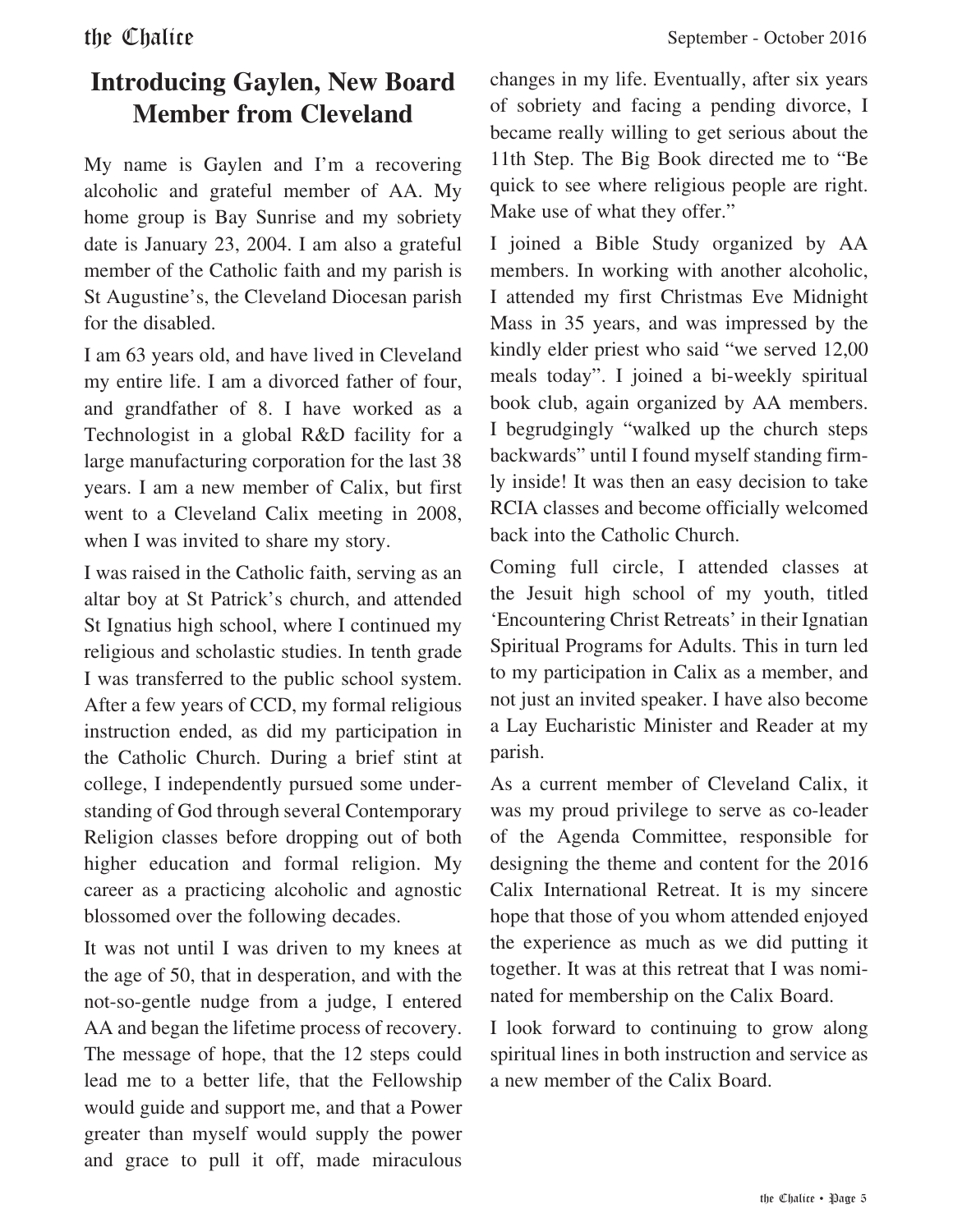#### **Introducing Gaylen, New Board Member from Cleveland**

My name is Gaylen and I'm a recovering alcoholic and grateful member of AA. My home group is Bay Sunrise and my sobriety date is January 23, 2004. I am also a grateful member of the Catholic faith and my parish is St Augustine's, the Cleveland Diocesan parish for the disabled.

I am 63 years old, and have lived in Cleveland my entire life. I am a divorced father of four, and grandfather of 8. I have worked as a Technologist in a global R&D facility for a large manufacturing corporation for the last 38 years. I am a new member of Calix, but first went to a Cleveland Calix meeting in 2008, when I was invited to share my story.

I was raised in the Catholic faith, serving as an altar boy at St Patrick's church, and attended St Ignatius high school, where I continued my religious and scholastic studies. In tenth grade I was transferred to the public school system. After a few years of CCD, my formal religious instruction ended, as did my participation in the Catholic Church. During a brief stint at college, I independently pursued some understanding of God through several Contemporary Religion classes before dropping out of both higher education and formal religion. My career as a practicing alcoholic and agnostic blossomed over the following decades.

It was not until I was driven to my knees at the age of 50, that in desperation, and with the not-so-gentle nudge from a judge, I entered AA and began the lifetime process of recovery. The message of hope, that the 12 steps could lead me to a better life, that the Fellowship would guide and support me, and that a Power greater than myself would supply the power and grace to pull it off, made miraculous

changes in my life. Eventually, after six years of sobriety and facing a pending divorce, I became really willing to get serious about the 11th Step. The Big Book directed me to "Be quick to see where religious people are right. Make use of what they offer."

I joined a Bible Study organized by AA members. In working with another alcoholic, I attended my first Christmas Eve Midnight Mass in 35 years, and was impressed by the kindly elder priest who said "we served 12,00 meals today". I joined a bi-weekly spiritual book club, again organized by AA members. I begrudgingly "walked up the church steps backwards" until I found myself standing firmly inside! It was then an easy decision to take RCIA classes and become officially welcomed back into the Catholic Church.

Coming full circle, I attended classes at the Jesuit high school of my youth, titled 'Encountering Christ Retreats' in their Ignatian Spiritual Programs for Adults. This in turn led to my participation in Calix as a member, and not just an invited speaker. I have also become a Lay Eucharistic Minister and Reader at my parish.

As a current member of Cleveland Calix, it was my proud privilege to serve as co-leader of the Agenda Committee, responsible for designing the theme and content for the 2016 Calix International Retreat. It is my sincere hope that those of you whom attended enjoyed the experience as much as we did putting it together. It was at this retreat that I was nominated for membership on the Calix Board.

I look forward to continuing to grow along spiritual lines in both instruction and service as a new member of the Calix Board.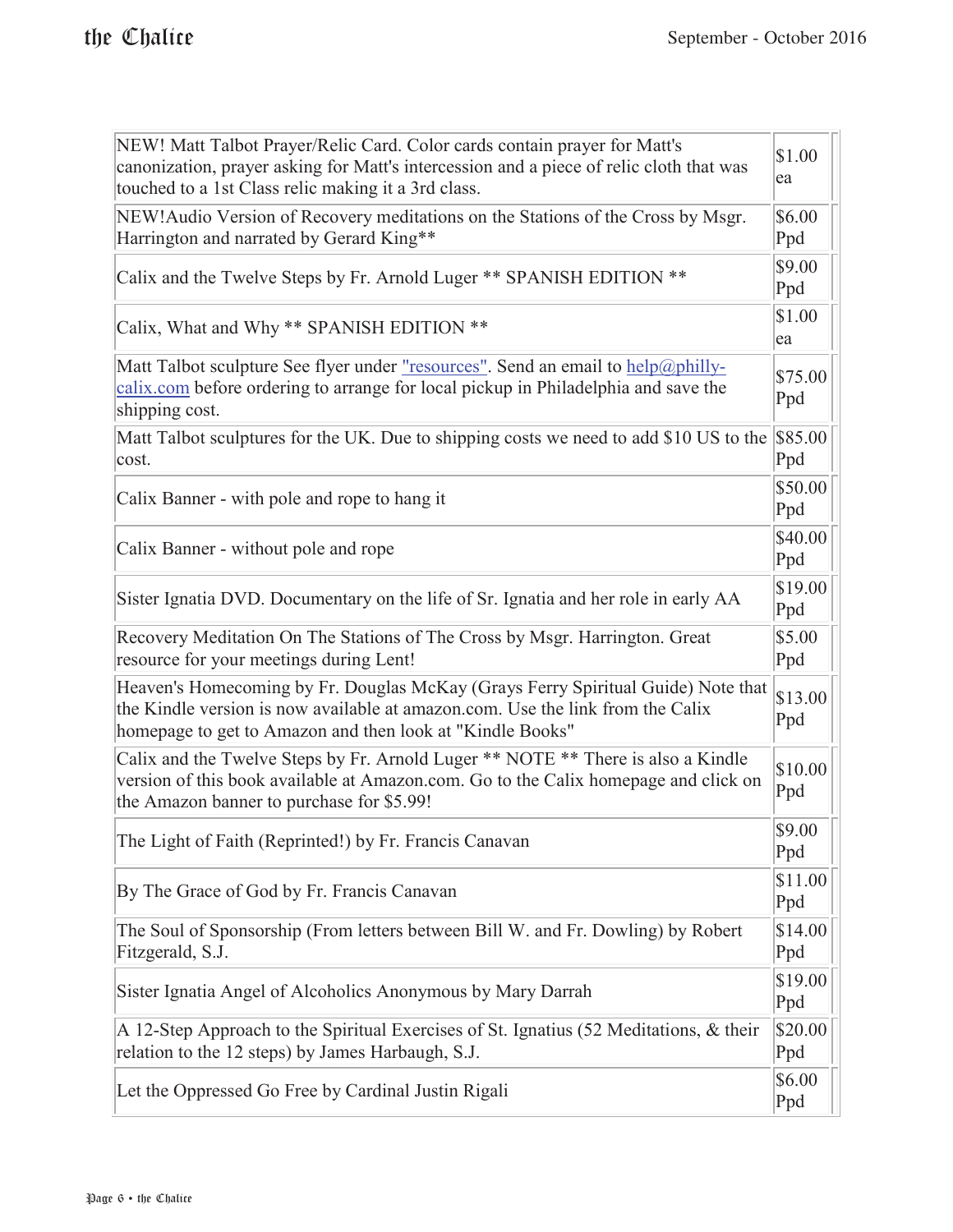| NEW! Matt Talbot Prayer/Relic Card. Color cards contain prayer for Matt's<br>canonization, prayer asking for Matt's intercession and a piece of relic cloth that was<br>touched to a 1st Class relic making it a 3rd class.     | \$1.00<br>ea   |  |
|---------------------------------------------------------------------------------------------------------------------------------------------------------------------------------------------------------------------------------|----------------|--|
| NEW! Audio Version of Recovery meditations on the Stations of the Cross by Msgr.<br>Harrington and narrated by Gerard King**                                                                                                    | \$6.00<br>Ppd  |  |
| Calix and the Twelve Steps by Fr. Arnold Luger ** SPANISH EDITION **                                                                                                                                                            | \$9.00<br>Ppd  |  |
| Calix, What and Why ** SPANISH EDITION **                                                                                                                                                                                       | \$1.00<br>ea   |  |
| Matt Talbot sculpture See flyer under <u>"resources"</u> . Send an email to help@philly-<br>calix.com before ordering to arrange for local pickup in Philadelphia and save the<br>shipping cost.                                | \$75.00<br>Ppd |  |
| Matt Talbot sculptures for the UK. Due to shipping costs we need to add \$10 US to the<br>cost.                                                                                                                                 | \$85.00<br>Ppd |  |
| Calix Banner - with pole and rope to hang it                                                                                                                                                                                    | \$50.00<br>Ppd |  |
| Calix Banner - without pole and rope                                                                                                                                                                                            | \$40.00<br>Ppd |  |
| Sister Ignatia DVD. Documentary on the life of Sr. Ignatia and her role in early AA                                                                                                                                             | \$19.00<br>Ppd |  |
| Recovery Meditation On The Stations of The Cross by Msgr. Harrington. Great<br>resource for your meetings during Lent!                                                                                                          | \$5.00<br>Ppd  |  |
| Heaven's Homecoming by Fr. Douglas McKay (Grays Ferry Spiritual Guide) Note that<br>the Kindle version is now available at amazon.com. Use the link from the Calix<br>homepage to get to Amazon and then look at "Kindle Books" | \$13.00<br>Ppd |  |
| Calix and the Twelve Steps by Fr. Arnold Luger ** NOTE ** There is also a Kindle<br>version of this book available at Amazon.com. Go to the Calix homepage and click on<br>the Amazon banner to purchase for \$5.99!            | \$10.00<br>Ppd |  |
| The Light of Faith (Reprinted!) by Fr. Francis Canavan                                                                                                                                                                          | \$9.00<br>Ppd  |  |
| By The Grace of God by Fr. Francis Canavan                                                                                                                                                                                      | \$11.00<br>Ppd |  |
| The Soul of Sponsorship (From letters between Bill W. and Fr. Dowling) by Robert<br>Fitzgerald, S.J.                                                                                                                            | \$14.00<br>Ppd |  |
| Sister Ignatia Angel of Alcoholics Anonymous by Mary Darrah                                                                                                                                                                     | \$19.00<br>Ppd |  |
| A 12-Step Approach to the Spiritual Exercises of St. Ignatius (52 Meditations, & their<br>relation to the 12 steps) by James Harbaugh, S.J.                                                                                     | \$20.00<br>Ppd |  |
| Let the Oppressed Go Free by Cardinal Justin Rigali                                                                                                                                                                             | \$6.00<br>Ppd  |  |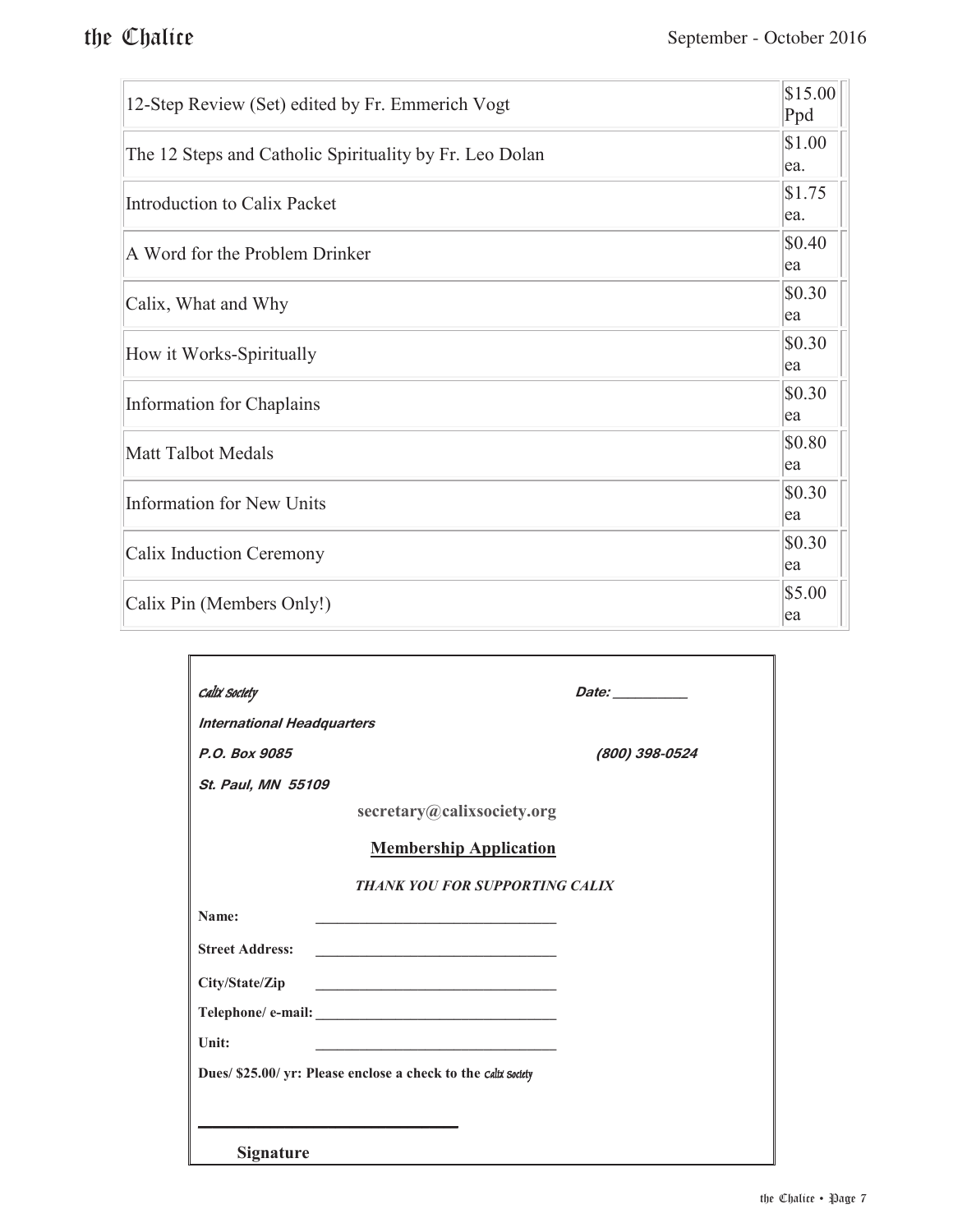| 12-Step Review (Set) edited by Fr. Emmerich Vogt        | \$15.00<br>Ppd |
|---------------------------------------------------------|----------------|
| The 12 Steps and Catholic Spirituality by Fr. Leo Dolan | \$1.00<br>ea.  |
| Introduction to Calix Packet                            | \$1.75<br>ea.  |
| A Word for the Problem Drinker                          | \$0.40<br>ea   |
| Calix, What and Why                                     | \$0.30<br>ea   |
| How it Works-Spiritually                                | \$0.30<br>ea   |
| Information for Chaplains                               | \$0.30<br>ea   |
| Matt Talbot Medals                                      | \$0.80<br>ea   |
| Information for New Units                               | \$0.30<br>ea   |
| Calix Induction Ceremony                                | \$0.30<br>ea   |
| Calix Pin (Members Only!)                               | \$5.00<br>ea   |

| Calix Society                                                                                                                                  | Date: _________                       |
|------------------------------------------------------------------------------------------------------------------------------------------------|---------------------------------------|
| <b>International Headquarters</b>                                                                                                              |                                       |
| P.O. Box 9085                                                                                                                                  | (800) 398-0524                        |
| St. Paul, MN 55109                                                                                                                             |                                       |
| secretary@calixsociety.org                                                                                                                     |                                       |
| <b>Membership Application</b>                                                                                                                  |                                       |
|                                                                                                                                                | <b>THANK YOU FOR SUPPORTING CALIX</b> |
| Name:<br><u> 1990 - Johann John Harry Harry Harry Harry Harry Harry Harry Harry Harry Harry Harry Harry Harry Harry Harry</u>                  |                                       |
| <b>Street Address:</b><br><u> 1989 - Johann John Stein, markin film ar yn y brenin y brenin y brenin y brenin y brenin y brenin y brenin y</u> |                                       |
| City/State/Zip<br>the property of the control of the control of the control of the control of the control of                                   |                                       |
|                                                                                                                                                |                                       |
| Unit:                                                                                                                                          |                                       |
| Dues/ \$25.00/ yr: Please enclose a check to the calix society                                                                                 |                                       |